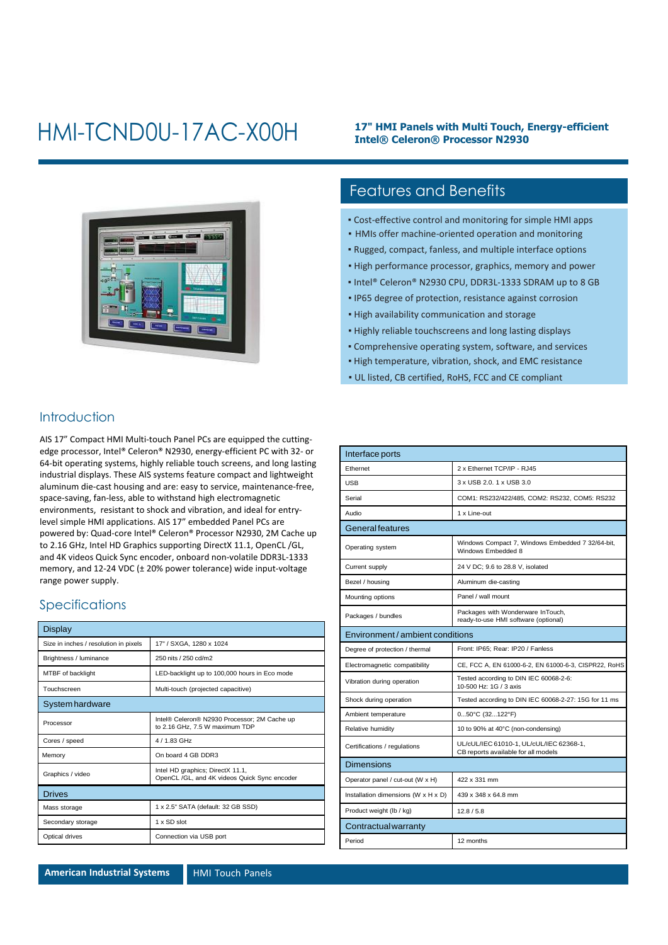## HMI-TCND0U-17AC-X00H

#### **17" HMI Panels with Multi Touch, Energy-efficient Intel® Celeron® Processor N2930**



### Features and Benefits

- Cost-effective control and monitoring for simple HMI apps
- HMIs offer machine-oriented operation and monitoring
- Rugged, compact, fanless, and multiple interface options
- High performance processor, graphics, memory and power
- Intel® Celeron® N2930 CPU, DDR3L-1333 SDRAM up to 8 GB
- IP65 degree of protection, resistance against corrosion
- High availability communication and storage
- Highly reliable touchscreens and long lasting displays
- Comprehensive operating system, software, and services
- High temperature, vibration, shock, and EMC resistance
- UL listed, CB certified, RoHS, FCC and CE compliant

### **Introduction**

AIS 17" Compact HMI Multi-touch Panel PCs are equipped the cuttingedge processor, Intel® Celeron® N2930, energy-efficient PC with 32- or 64-bit operating systems, highly reliable touch screens, and long lasting industrial displays. These AIS systems feature compact and lightweight aluminum die-cast housing and are: easy to service, maintenance-free, space-saving, fan-less, able to withstand high electromagnetic environments, resistant to shock and vibration, and ideal for entrylevel simple HMI applications. AIS 17" embedded Panel PCs are powered by: Quad-core Intel® Celeron® Processor N2930, 2M Cache up to 2.16 GHz, Intel HD Graphics supporting DirectX 11.1, OpenCL /GL, and 4K videos Quick Sync encoder, onboard non-volatile DDR3L-1333 memory, and 12-24 VDC (± 20% power tolerance) wide input-voltage range power supply.

#### Specifications

| Display                               |                                                                                  |
|---------------------------------------|----------------------------------------------------------------------------------|
| Size in inches / resolution in pixels | 17" / SXGA, 1280 x 1024                                                          |
| Brightness / luminance                | 250 nits / 250 cd/m2                                                             |
| MTBF of backlight                     | LED-backlight up to 100,000 hours in Eco mode                                    |
| Touchscreen                           | Multi-touch (projected capacitive)                                               |
| System hardware                       |                                                                                  |
| Processor                             | Intel® Celeron® N2930 Processor; 2M Cache up<br>to 2.16 GHz, 7.5 W maximum TDP   |
| Cores / speed                         | 4 / 1.83 GHz                                                                     |
| Memory                                | On board 4 GB DDR3                                                               |
| Graphics / video                      | Intel HD graphics; DirectX 11.1,<br>OpenCL /GL, and 4K videos Quick Sync encoder |
| <b>Drives</b>                         |                                                                                  |
| Mass storage                          | 1 x 2.5" SATA (default: 32 GB SSD)                                               |
| Secondary storage                     | 1 x SD slot                                                                      |
| Optical drives                        | Connection via USB port                                                          |

| Interface ports                     |                                                                                |  |
|-------------------------------------|--------------------------------------------------------------------------------|--|
| Ethernet                            | 2 x Ethernet TCP/IP - RJ45                                                     |  |
| <b>USB</b>                          | 3 x USB 2.0, 1 x USB 3.0                                                       |  |
| Serial                              | COM1: RS232/422/485, COM2: RS232, COM5: RS232                                  |  |
| Audio                               | 1 x Line-out                                                                   |  |
| <b>General features</b>             |                                                                                |  |
| Operating system                    | Windows Compact 7, Windows Embedded 7 32/64-bit,<br>Windows Embedded 8         |  |
| Current supply                      | 24 V DC; 9.6 to 28.8 V, isolated                                               |  |
| Bezel / housing                     | Aluminum die-casting                                                           |  |
| Mounting options                    | Panel / wall mount                                                             |  |
| Packages / bundles                  | Packages with Wonderware InTouch,<br>ready-to-use HMI software (optional)      |  |
| Environment / ambient conditions    |                                                                                |  |
| Degree of protection / thermal      | Front: IP65; Rear: IP20 / Fanless                                              |  |
| Electromagnetic compatibility       | CE, FCC A, EN 61000-6-2, EN 61000-6-3, CISPR22, RoHS                           |  |
| Vibration during operation          | Tested according to DIN IEC 60068-2-6:<br>10-500 Hz: 1G / 3 axis               |  |
| Shock during operation              | Tested according to DIN IEC 60068-2-27: 15G for 11 ms                          |  |
| Ambient temperature                 | $050^{\circ}$ C (32122°F)                                                      |  |
| Relative humidity                   | 10 to 90% at 40°C (non-condensing)                                             |  |
| Certifications / regulations        | UL/cUL/IEC 61010-1, UL/cUL/IEC 62368-1,<br>CB reports available for all models |  |
| <b>Dimensions</b>                   |                                                                                |  |
| Operator panel / cut-out (W x H)    | 422 x 331 mm                                                                   |  |
| Installation dimensions (W x H x D) | 439 x 348 x 64.8 mm                                                            |  |
| Product weight (lb / kg)            | 12.8 / 5.8                                                                     |  |
| Contractual warranty                |                                                                                |  |
| Period                              | 12 months                                                                      |  |

**American Industrial Systems HMI Touch Panels**